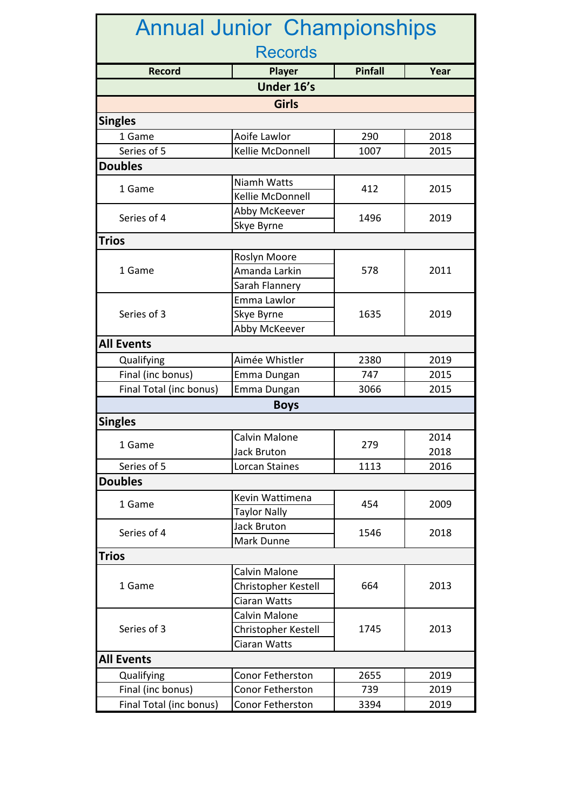| <b>Annual Junior Championships</b> |                     |                |      |  |  |  |  |
|------------------------------------|---------------------|----------------|------|--|--|--|--|
| <b>Records</b>                     |                     |                |      |  |  |  |  |
| <b>Record</b>                      | Player              | <b>Pinfall</b> | Year |  |  |  |  |
| Under 16's                         |                     |                |      |  |  |  |  |
| <b>Girls</b>                       |                     |                |      |  |  |  |  |
| <b>Singles</b>                     |                     |                |      |  |  |  |  |
| 1 Game                             | Aoife Lawlor        | 290            | 2018 |  |  |  |  |
| Series of 5                        | Kellie McDonnell    | 1007           | 2015 |  |  |  |  |
| <b>Doubles</b>                     |                     |                |      |  |  |  |  |
|                                    | Niamh Watts         |                |      |  |  |  |  |
| 1 Game                             | Kellie McDonnell    | 412            | 2015 |  |  |  |  |
|                                    | Abby McKeever       |                | 2019 |  |  |  |  |
| Series of 4                        | Skye Byrne          | 1496           |      |  |  |  |  |
| <b>Trios</b>                       |                     |                |      |  |  |  |  |
|                                    | Roslyn Moore        |                | 2011 |  |  |  |  |
| 1 Game                             | Amanda Larkin       | 578            |      |  |  |  |  |
|                                    | Sarah Flannery      |                |      |  |  |  |  |
| Series of 3                        | Emma Lawlor         |                | 2019 |  |  |  |  |
|                                    | Skye Byrne          | 1635           |      |  |  |  |  |
|                                    | Abby McKeever       |                |      |  |  |  |  |
| <b>All Events</b>                  |                     |                |      |  |  |  |  |
| Qualifying                         | Aimée Whistler      | 2380           | 2019 |  |  |  |  |
| Final (inc bonus)                  | Emma Dungan         | 747            | 2015 |  |  |  |  |
| Final Total (inc bonus)            | Emma Dungan         | 3066           | 2015 |  |  |  |  |
|                                    | <b>Boys</b>         |                |      |  |  |  |  |
| <b>Singles</b>                     |                     |                |      |  |  |  |  |
|                                    | Calvin Malone       | 279            | 2014 |  |  |  |  |
| 1 Game                             | <b>Jack Bruton</b>  |                | 2018 |  |  |  |  |
| Series of 5                        | Lorcan Staines      | 1113           | 2016 |  |  |  |  |
| <b>Doubles</b>                     |                     |                |      |  |  |  |  |
|                                    | Kevin Wattimena     |                |      |  |  |  |  |
| 1 Game                             | <b>Taylor Nally</b> | 454            | 2009 |  |  |  |  |
| Series of 4                        | Jack Bruton         |                |      |  |  |  |  |
|                                    | Mark Dunne          | 1546           | 2018 |  |  |  |  |
| <b>Trios</b>                       |                     |                |      |  |  |  |  |
| 1 Game                             | Calvin Malone       |                | 2013 |  |  |  |  |
|                                    | Christopher Kestell | 664            |      |  |  |  |  |
|                                    | Ciaran Watts        |                |      |  |  |  |  |
| Series of 3                        | Calvin Malone       |                | 2013 |  |  |  |  |
|                                    | Christopher Kestell | 1745           |      |  |  |  |  |
|                                    | Ciaran Watts        |                |      |  |  |  |  |
| <b>All Events</b>                  |                     |                |      |  |  |  |  |
| Qualifying                         | Conor Fetherston    | 2655           | 2019 |  |  |  |  |
| Final (inc bonus)                  | Conor Fetherston    | 739            | 2019 |  |  |  |  |
| Final Total (inc bonus)            | Conor Fetherston    | 3394           | 2019 |  |  |  |  |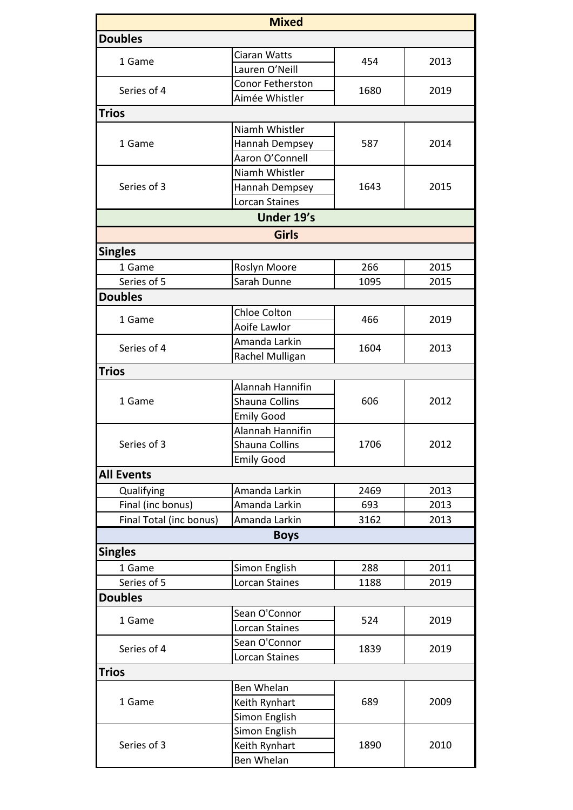|                         | <b>Mixed</b>          |      |      |
|-------------------------|-----------------------|------|------|
| <b>Doubles</b>          |                       |      |      |
|                         | Ciaran Watts          |      |      |
| 1 Game                  | Lauren O'Neill        | 454  | 2013 |
| Series of 4             | Conor Fetherston      | 1680 | 2019 |
|                         | Aimée Whistler        |      |      |
| <b>Trios</b>            |                       |      |      |
| 1 Game                  | Niamh Whistler        |      | 2014 |
|                         | Hannah Dempsey        | 587  |      |
|                         | Aaron O'Connell       |      |      |
|                         | Niamh Whistler        |      | 2015 |
| Series of 3             | Hannah Dempsey        | 1643 |      |
|                         | Lorcan Staines        |      |      |
|                         | Under 19's            |      |      |
|                         | <b>Girls</b>          |      |      |
| <b>Singles</b>          |                       |      |      |
| 1 Game                  | Roslyn Moore          | 266  | 2015 |
| Series of 5             | Sarah Dunne           | 1095 | 2015 |
| <b>Doubles</b>          |                       |      |      |
| 1 Game                  | Chloe Colton          |      |      |
|                         | Aoife Lawlor          | 466  | 2019 |
|                         | Amanda Larkin         |      | 2013 |
| Series of 4             | Rachel Mulligan       | 1604 |      |
| <b>Trios</b>            |                       |      |      |
|                         | Alannah Hannifin      |      | 2012 |
| 1 Game                  | <b>Shauna Collins</b> | 606  |      |
|                         | <b>Emily Good</b>     |      |      |
| Series of 3             | Alannah Hannifin      |      | 2012 |
|                         | Shauna Collins        | 1706 |      |
|                         | <b>Emily Good</b>     |      |      |
| <b>All Events</b>       |                       |      |      |
| Qualifying              | Amanda Larkin         | 2469 | 2013 |
| Final (inc bonus)       | Amanda Larkin         | 693  | 2013 |
| Final Total (inc bonus) | Amanda Larkin         | 3162 | 2013 |
|                         | <b>Boys</b>           |      |      |
| <b>Singles</b>          |                       |      |      |
| 1 Game                  | Simon English         | 288  | 2011 |
| Series of 5             | Lorcan Staines        | 1188 | 2019 |
| <b>Doubles</b>          |                       |      |      |
| 1 Game                  | Sean O'Connor         |      | 2019 |
|                         | Lorcan Staines        | 524  |      |
|                         | Sean O'Connor         |      | 2019 |
| Series of 4             | Lorcan Staines        | 1839 |      |
| <b>Trios</b>            |                       |      |      |
|                         | Ben Whelan            |      |      |
| 1 Game                  | Keith Rynhart         | 689  | 2009 |
|                         | Simon English         |      |      |
| Series of 3             | Simon English         |      | 2010 |
|                         | Keith Rynhart         | 1890 |      |
|                         | Ben Whelan            |      |      |
|                         |                       |      |      |